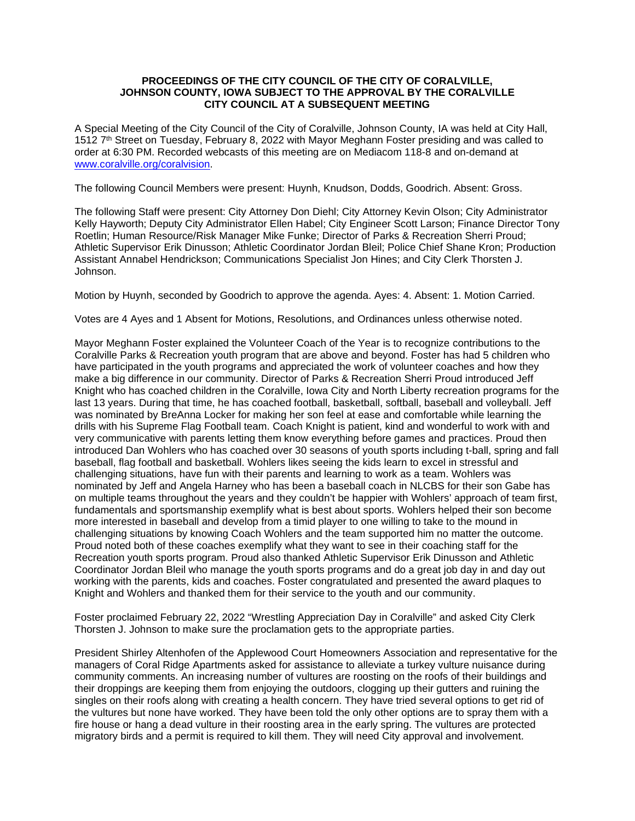## **PROCEEDINGS OF THE CITY COUNCIL OF THE CITY OF CORALVILLE, JOHNSON COUNTY, IOWA SUBJECT TO THE APPROVAL BY THE CORALVILLE CITY COUNCIL AT A SUBSEQUENT MEETING**

A Special Meeting of the City Council of the City of Coralville, Johnson County, IA was held at City Hall, 1512 7th Street on Tuesday, February 8, 2022 with Mayor Meghann Foster presiding and was called to order at 6:30 PM. Recorded webcasts of this meeting are on Mediacom 118-8 and on-demand at [www.coralville.org/coralvision.](http://www.coralville.org/coralvision)

The following Council Members were present: Huynh, Knudson, Dodds, Goodrich. Absent: Gross.

The following Staff were present: City Attorney Don Diehl; City Attorney Kevin Olson; City Administrator Kelly Hayworth; Deputy City Administrator Ellen Habel; City Engineer Scott Larson; Finance Director Tony Roetlin; Human Resource/Risk Manager Mike Funke; Director of Parks & Recreation Sherri Proud; Athletic Supervisor Erik Dinusson; Athletic Coordinator Jordan Bleil; Police Chief Shane Kron; Production Assistant Annabel Hendrickson; Communications Specialist Jon Hines; and City Clerk Thorsten J. Johnson.

Motion by Huynh, seconded by Goodrich to approve the agenda. Ayes: 4. Absent: 1. Motion Carried.

Votes are 4 Ayes and 1 Absent for Motions, Resolutions, and Ordinances unless otherwise noted.

Mayor Meghann Foster explained the Volunteer Coach of the Year is to recognize contributions to the Coralville Parks & Recreation youth program that are above and beyond. Foster has had 5 children who have participated in the youth programs and appreciated the work of volunteer coaches and how they make a big difference in our community. Director of Parks & Recreation Sherri Proud introduced Jeff Knight who has coached children in the Coralville, Iowa City and North Liberty recreation programs for the last 13 years. During that time, he has coached football, basketball, softball, baseball and volleyball. Jeff was nominated by BreAnna Locker for making her son feel at ease and comfortable while learning the drills with his Supreme Flag Football team. Coach Knight is patient, kind and wonderful to work with and very communicative with parents letting them know everything before games and practices. Proud then introduced Dan Wohlers who has coached over 30 seasons of youth sports including t-ball, spring and fall baseball, flag football and basketball. Wohlers likes seeing the kids learn to excel in stressful and challenging situations, have fun with their parents and learning to work as a team. Wohlers was nominated by Jeff and Angela Harney who has been a baseball coach in NLCBS for their son Gabe has on multiple teams throughout the years and they couldn't be happier with Wohlers' approach of team first, fundamentals and sportsmanship exemplify what is best about sports. Wohlers helped their son become more interested in baseball and develop from a timid player to one willing to take to the mound in challenging situations by knowing Coach Wohlers and the team supported him no matter the outcome. Proud noted both of these coaches exemplify what they want to see in their coaching staff for the Recreation youth sports program. Proud also thanked Athletic Supervisor Erik Dinusson and Athletic Coordinator Jordan Bleil who manage the youth sports programs and do a great job day in and day out working with the parents, kids and coaches. Foster congratulated and presented the award plaques to Knight and Wohlers and thanked them for their service to the youth and our community.

Foster proclaimed February 22, 2022 "Wrestling Appreciation Day in Coralville" and asked City Clerk Thorsten J. Johnson to make sure the proclamation gets to the appropriate parties.

President Shirley Altenhofen of the Applewood Court Homeowners Association and representative for the managers of Coral Ridge Apartments asked for assistance to alleviate a turkey vulture nuisance during community comments. An increasing number of vultures are roosting on the roofs of their buildings and their droppings are keeping them from enjoying the outdoors, clogging up their gutters and ruining the singles on their roofs along with creating a health concern. They have tried several options to get rid of the vultures but none have worked. They have been told the only other options are to spray them with a fire house or hang a dead vulture in their roosting area in the early spring. The vultures are protected migratory birds and a permit is required to kill them. They will need City approval and involvement.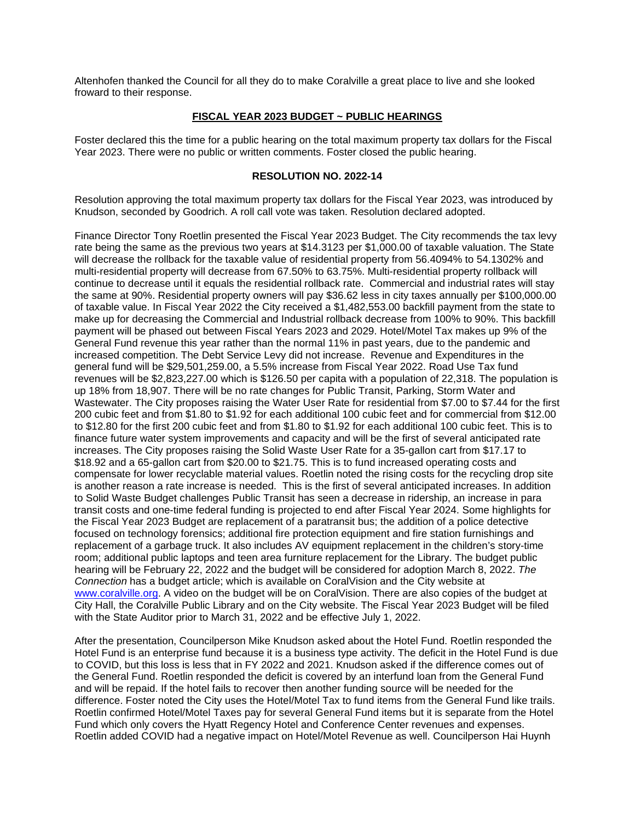Altenhofen thanked the Council for all they do to make Coralville a great place to live and she looked froward to their response.

## **FISCAL YEAR 2023 BUDGET ~ PUBLIC HEARINGS**

Foster declared this the time for a public hearing on the total maximum property tax dollars for the Fiscal Year 2023. There were no public or written comments. Foster closed the public hearing.

#### **RESOLUTION NO. 2022-14**

Resolution approving the total maximum property tax dollars for the Fiscal Year 2023, was introduced by Knudson, seconded by Goodrich. A roll call vote was taken. Resolution declared adopted.

Finance Director Tony Roetlin presented the Fiscal Year 2023 Budget. The City recommends the tax levy rate being the same as the previous two years at \$14.3123 per \$1,000.00 of taxable valuation. The State will decrease the rollback for the taxable value of residential property from 56.4094% to 54.1302% and multi-residential property will decrease from 67.50% to 63.75%. Multi-residential property rollback will continue to decrease until it equals the residential rollback rate. Commercial and industrial rates will stay the same at 90%. Residential property owners will pay \$36.62 less in city taxes annually per \$100,000.00 of taxable value. In Fiscal Year 2022 the City received a \$1,482,553.00 backfill payment from the state to make up for decreasing the Commercial and Industrial rollback decrease from 100% to 90%. This backfill payment will be phased out between Fiscal Years 2023 and 2029. Hotel/Motel Tax makes up 9% of the General Fund revenue this year rather than the normal 11% in past years, due to the pandemic and increased competition. The Debt Service Levy did not increase. Revenue and Expenditures in the general fund will be \$29,501,259.00, a 5.5% increase from Fiscal Year 2022. Road Use Tax fund revenues will be \$2,823,227.00 which is \$126.50 per capita with a population of 22,318. The population is up 18% from 18,907. There will be no rate changes for Public Transit, Parking, Storm Water and Wastewater. The City proposes raising the Water User Rate for residential from \$7.00 to \$7.44 for the first 200 cubic feet and from \$1.80 to \$1.92 for each additional 100 cubic feet and for commercial from \$12.00 to \$12.80 for the first 200 cubic feet and from \$1.80 to \$1.92 for each additional 100 cubic feet. This is to finance future water system improvements and capacity and will be the first of several anticipated rate increases. The City proposes raising the Solid Waste User Rate for a 35-gallon cart from \$17.17 to \$18.92 and a 65-gallon cart from \$20.00 to \$21.75. This is to fund increased operating costs and compensate for lower recyclable material values. Roetlin noted the rising costs for the recycling drop site is another reason a rate increase is needed. This is the first of several anticipated increases. In addition to Solid Waste Budget challenges Public Transit has seen a decrease in ridership, an increase in para transit costs and one-time federal funding is projected to end after Fiscal Year 2024. Some highlights for the Fiscal Year 2023 Budget are replacement of a paratransit bus; the addition of a police detective focused on technology forensics; additional fire protection equipment and fire station furnishings and replacement of a garbage truck. It also includes AV equipment replacement in the children's story-time room; additional public laptops and teen area furniture replacement for the Library. The budget public hearing will be February 22, 2022 and the budget will be considered for adoption March 8, 2022. *The Connection* has a budget article; which is available on CoralVision and the City website at [www.coralville.org.](http://www.coralville.org/) A video on the budget will be on CoralVision. There are also copies of the budget at City Hall, the Coralville Public Library and on the City website. The Fiscal Year 2023 Budget will be filed with the State Auditor prior to March 31, 2022 and be effective July 1, 2022.

After the presentation, Councilperson Mike Knudson asked about the Hotel Fund. Roetlin responded the Hotel Fund is an enterprise fund because it is a business type activity. The deficit in the Hotel Fund is due to COVID, but this loss is less that in FY 2022 and 2021. Knudson asked if the difference comes out of the General Fund. Roetlin responded the deficit is covered by an interfund loan from the General Fund and will be repaid. If the hotel fails to recover then another funding source will be needed for the difference. Foster noted the City uses the Hotel/Motel Tax to fund items from the General Fund like trails. Roetlin confirmed Hotel/Motel Taxes pay for several General Fund items but it is separate from the Hotel Fund which only covers the Hyatt Regency Hotel and Conference Center revenues and expenses. Roetlin added COVID had a negative impact on Hotel/Motel Revenue as well. Councilperson Hai Huynh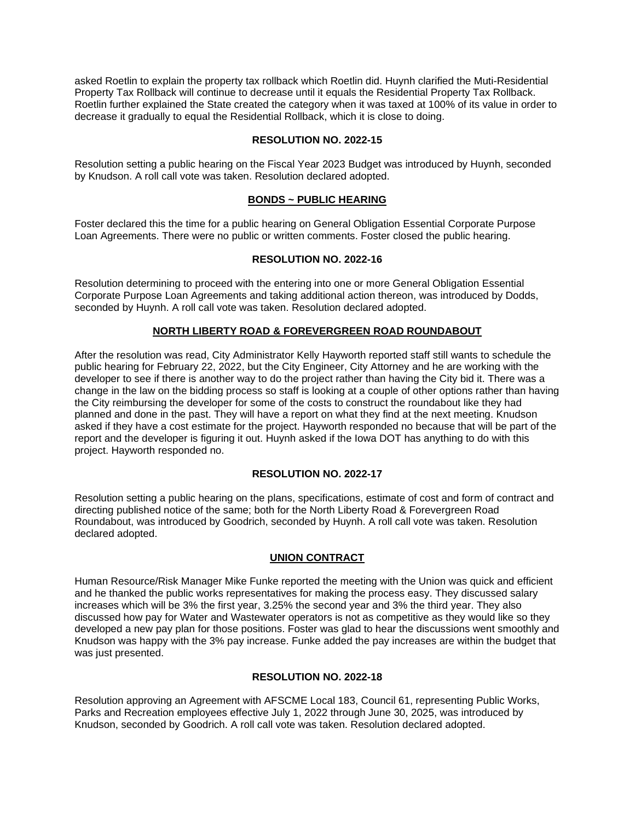asked Roetlin to explain the property tax rollback which Roetlin did. Huynh clarified the Muti-Residential Property Tax Rollback will continue to decrease until it equals the Residential Property Tax Rollback. Roetlin further explained the State created the category when it was taxed at 100% of its value in order to decrease it gradually to equal the Residential Rollback, which it is close to doing.

## **RESOLUTION NO. 2022-15**

Resolution setting a public hearing on the Fiscal Year 2023 Budget was introduced by Huynh, seconded by Knudson. A roll call vote was taken. Resolution declared adopted.

# **BONDS ~ PUBLIC HEARING**

Foster declared this the time for a public hearing on General Obligation Essential Corporate Purpose Loan Agreements. There were no public or written comments. Foster closed the public hearing.

# **RESOLUTION NO. 2022-16**

Resolution determining to proceed with the entering into one or more General Obligation Essential Corporate Purpose Loan Agreements and taking additional action thereon, was introduced by Dodds, seconded by Huynh. A roll call vote was taken. Resolution declared adopted.

# **NORTH LIBERTY ROAD & FOREVERGREEN ROAD ROUNDABOUT**

After the resolution was read, City Administrator Kelly Hayworth reported staff still wants to schedule the public hearing for February 22, 2022, but the City Engineer, City Attorney and he are working with the developer to see if there is another way to do the project rather than having the City bid it. There was a change in the law on the bidding process so staff is looking at a couple of other options rather than having the City reimbursing the developer for some of the costs to construct the roundabout like they had planned and done in the past. They will have a report on what they find at the next meeting. Knudson asked if they have a cost estimate for the project. Hayworth responded no because that will be part of the report and the developer is figuring it out. Huynh asked if the Iowa DOT has anything to do with this project. Hayworth responded no.

#### **RESOLUTION NO. 2022-17**

Resolution setting a public hearing on the plans, specifications, estimate of cost and form of contract and directing published notice of the same; both for the North Liberty Road & Forevergreen Road Roundabout, was introduced by Goodrich, seconded by Huynh. A roll call vote was taken. Resolution declared adopted.

#### **UNION CONTRACT**

Human Resource/Risk Manager Mike Funke reported the meeting with the Union was quick and efficient and he thanked the public works representatives for making the process easy. They discussed salary increases which will be 3% the first year, 3.25% the second year and 3% the third year. They also discussed how pay for Water and Wastewater operators is not as competitive as they would like so they developed a new pay plan for those positions. Foster was glad to hear the discussions went smoothly and Knudson was happy with the 3% pay increase. Funke added the pay increases are within the budget that was just presented.

#### **RESOLUTION NO. 2022-18**

Resolution approving an Agreement with AFSCME Local 183, Council 61, representing Public Works, Parks and Recreation employees effective July 1, 2022 through June 30, 2025, was introduced by Knudson, seconded by Goodrich. A roll call vote was taken. Resolution declared adopted.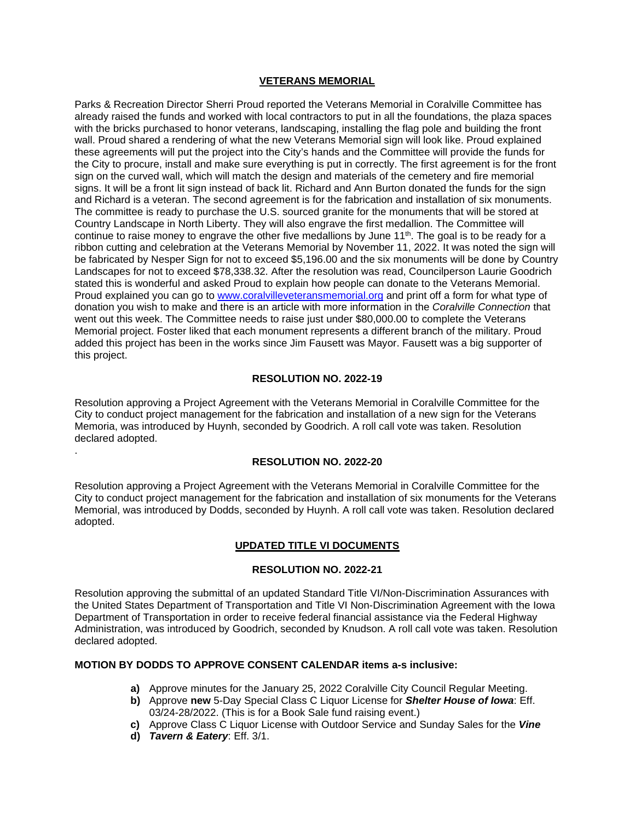# **VETERANS MEMORIAL**

Parks & Recreation Director Sherri Proud reported the Veterans Memorial in Coralville Committee has already raised the funds and worked with local contractors to put in all the foundations, the plaza spaces with the bricks purchased to honor veterans, landscaping, installing the flag pole and building the front wall. Proud shared a rendering of what the new Veterans Memorial sign will look like. Proud explained these agreements will put the project into the City's hands and the Committee will provide the funds for the City to procure, install and make sure everything is put in correctly. The first agreement is for the front sign on the curved wall, which will match the design and materials of the cemetery and fire memorial signs. It will be a front lit sign instead of back lit. Richard and Ann Burton donated the funds for the sign and Richard is a veteran. The second agreement is for the fabrication and installation of six monuments. The committee is ready to purchase the U.S. sourced granite for the monuments that will be stored at Country Landscape in North Liberty. They will also engrave the first medallion. The Committee will continue to raise money to engrave the other five medallions by June 11<sup>th</sup>. The goal is to be ready for a ribbon cutting and celebration at the Veterans Memorial by November 11, 2022. It was noted the sign will be fabricated by Nesper Sign for not to exceed \$5,196.00 and the six monuments will be done by Country Landscapes for not to exceed \$78,338.32. After the resolution was read, Councilperson Laurie Goodrich stated this is wonderful and asked Proud to explain how people can donate to the Veterans Memorial. Proud explained you can go to [www.coralvilleveteransmemorial.org](http://www.coralvilleveteransmemorial.org/) and print off a form for what type of donation you wish to make and there is an article with more information in the *Coralville Connection* that went out this week. The Committee needs to raise just under \$80,000.00 to complete the Veterans Memorial project. Foster liked that each monument represents a different branch of the military. Proud added this project has been in the works since Jim Fausett was Mayor. Fausett was a big supporter of this project.

# **RESOLUTION NO. 2022-19**

Resolution approving a Project Agreement with the Veterans Memorial in Coralville Committee for the City to conduct project management for the fabrication and installation of a new sign for the Veterans Memoria, was introduced by Huynh, seconded by Goodrich. A roll call vote was taken. Resolution declared adopted.

#### **RESOLUTION NO. 2022-20**

Resolution approving a Project Agreement with the Veterans Memorial in Coralville Committee for the City to conduct project management for the fabrication and installation of six monuments for the Veterans Memorial, was introduced by Dodds, seconded by Huynh. A roll call vote was taken. Resolution declared adopted.

#### **UPDATED TITLE VI DOCUMENTS**

#### **RESOLUTION NO. 2022-21**

Resolution approving the submittal of an updated Standard Title VI/Non-Discrimination Assurances with the United States Department of Transportation and Title VI Non-Discrimination Agreement with the Iowa Department of Transportation in order to receive federal financial assistance via the Federal Highway Administration, was introduced by Goodrich, seconded by Knudson. A roll call vote was taken. Resolution declared adopted.

#### **MOTION BY DODDS TO APPROVE CONSENT CALENDAR items a-s inclusive:**

- **a)** Approve minutes for the January 25, 2022 Coralville City Council Regular Meeting.
- **b)** Approve **new** 5-Day Special Class C Liquor License for *Shelter House of Iowa*: Eff. 03/24-28/2022. (This is for a Book Sale fund raising event.)
- **c)** Approve Class C Liquor License with Outdoor Service and Sunday Sales for the *Vine*
- **d)** *Tavern & Eatery*: Eff. 3/1.

.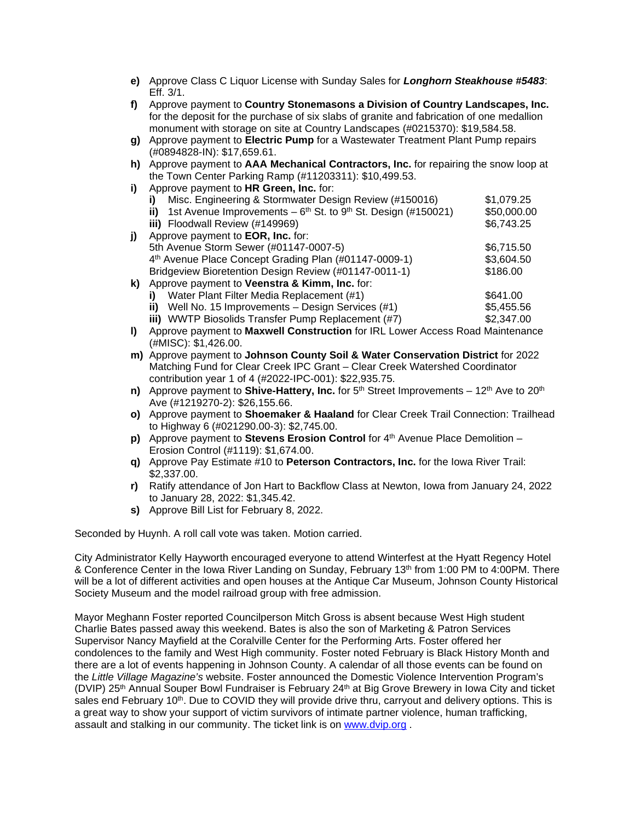**e)** Approve Class C Liquor License with Sunday Sales for *Longhorn Steakhouse #5483*: Eff. 3/1.

**f)** Approve payment to **Country Stonemasons a Division of Country Landscapes, Inc.** for the deposit for the purchase of six slabs of granite and fabrication of one medallion monument with storage on site at Country Landscapes (#0215370): \$19,584.58.

- **g)** Approve payment to **Electric Pump** for a Wastewater Treatment Plant Pump repairs (#0894828-IN): \$17,659.61.
- **h)** Approve payment to **AAA Mechanical Contractors, Inc.** for repairing the snow loop at the Town Center Parking Ramp (#11203311): \$10,499.53.

| i)       | Approve payment to HR Green, Inc. for:                                                                 |             |
|----------|--------------------------------------------------------------------------------------------------------|-------------|
|          | Misc. Engineering & Stormwater Design Review (#150016)                                                 | \$1,079.25  |
|          | 1st Avenue Improvements $-6$ <sup>th</sup> St. to 9 <sup>th</sup> St. Design (#150021)<br>$\mathbf{H}$ | \$50,000.00 |
|          | iii) Floodwall Review (#149969)                                                                        | \$6,743.25  |
| j)       | Approve payment to EOR, Inc. for:                                                                      |             |
|          | 5th Avenue Storm Sewer (#01147-0007-5)                                                                 | \$6,715.50  |
|          | 4th Avenue Place Concept Grading Plan (#01147-0009-1)                                                  | \$3,604.50  |
|          | Bridgeview Bioretention Design Review (#01147-0011-1)                                                  | \$186.00    |
| k)       | Approve payment to Veenstra & Kimm, Inc. for:                                                          |             |
|          | Water Plant Filter Media Replacement (#1)<br>i)                                                        | \$641.00    |
|          | Well No. 15 Improvements - Design Services (#1)<br>ii)                                                 | \$5,455.56  |
|          | iii) WWTP Biosolids Transfer Pump Replacement (#7)                                                     | \$2,347.00  |
| $\bf{D}$ | Approve payment to Maxwell Construction for IRL Lower Access Road Maintenance                          |             |
|          | (#MISC): \$1,426.00.                                                                                   |             |

- **m)** Approve payment to **Johnson County Soil & Water Conservation District** for 2022 Matching Fund for Clear Creek IPC Grant – Clear Creek Watershed Coordinator contribution year 1 of 4 (#2022-IPC-001): \$22,935.75.
- **n)** Approve payment to **Shive-Hattery, Inc.** for 5<sup>th</sup> Street Improvements 12<sup>th</sup> Ave to 20<sup>th</sup> Ave (#1219270-2): \$26,155.66.
- **o)** Approve payment to **Shoemaker & Haaland** for Clear Creek Trail Connection: Trailhead to Highway 6 (#021290.00-3): \$2,745.00.
- **p)** Approve payment to **Stevens Erosion Control** for 4<sup>th</sup> Avenue Place Demolition Erosion Control (#1119): \$1,674.00.
- **q)** Approve Pay Estimate #10 to **Peterson Contractors, Inc.** for the Iowa River Trail: \$2,337.00.
- **r)** Ratify attendance of Jon Hart to Backflow Class at Newton, Iowa from January 24, 2022 to January 28, 2022: \$1,345.42.
- **s)** Approve Bill List for February 8, 2022.

Seconded by Huynh. A roll call vote was taken. Motion carried.

City Administrator Kelly Hayworth encouraged everyone to attend Winterfest at the Hyatt Regency Hotel & Conference Center in the Iowa River Landing on Sunday, February 13<sup>th</sup> from 1:00 PM to 4:00PM. There will be a lot of different activities and open houses at the Antique Car Museum, Johnson County Historical Society Museum and the model railroad group with free admission.

Mayor Meghann Foster reported Councilperson Mitch Gross is absent because West High student Charlie Bates passed away this weekend. Bates is also the son of Marketing & Patron Services Supervisor Nancy Mayfield at the Coralville Center for the Performing Arts. Foster offered her condolences to the family and West High community. Foster noted February is Black History Month and there are a lot of events happening in Johnson County. A calendar of all those events can be found on the *Little Village Magazine's* website. Foster announced the Domestic Violence Intervention Program's (DVIP) 25<sup>th</sup> Annual Souper Bowl Fundraiser is February 24<sup>th</sup> at Big Grove Brewery in Iowa City and ticket sales end February 10<sup>th</sup>. Due to COVID they will provide drive thru, carryout and delivery options. This is a great way to show your support of victim survivors of intimate partner violence, human trafficking, assault and stalking in our community. The ticket link is on [www.dvip.org](http://www.dvip.org/).